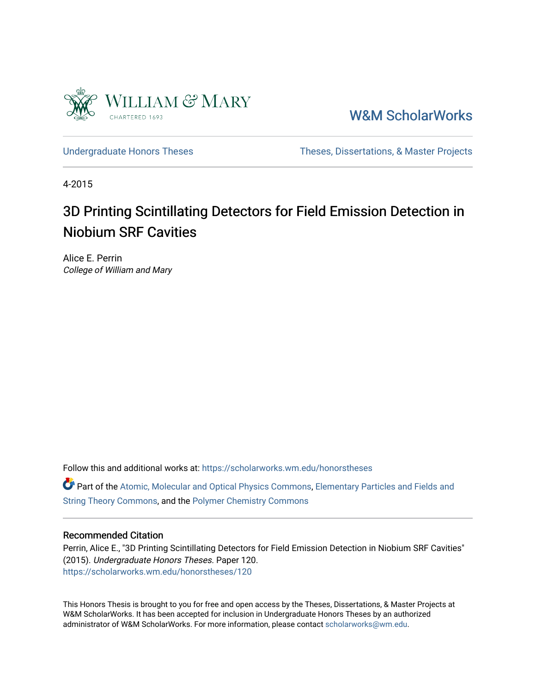

[W&M ScholarWorks](https://scholarworks.wm.edu/) 

[Undergraduate Honors Theses](https://scholarworks.wm.edu/honorstheses) Theses Theses, Dissertations, & Master Projects

4-2015

## 3D Printing Scintillating Detectors for Field Emission Detection in Niobium SRF Cavities

Alice E. Perrin College of William and Mary

Follow this and additional works at: [https://scholarworks.wm.edu/honorstheses](https://scholarworks.wm.edu/honorstheses?utm_source=scholarworks.wm.edu%2Fhonorstheses%2F120&utm_medium=PDF&utm_campaign=PDFCoverPages) 

Part of the [Atomic, Molecular and Optical Physics Commons,](http://network.bepress.com/hgg/discipline/195?utm_source=scholarworks.wm.edu%2Fhonorstheses%2F120&utm_medium=PDF&utm_campaign=PDFCoverPages) Elementary Particles and Fields and [String Theory Commons,](http://network.bepress.com/hgg/discipline/199?utm_source=scholarworks.wm.edu%2Fhonorstheses%2F120&utm_medium=PDF&utm_campaign=PDFCoverPages) and the [Polymer Chemistry Commons](http://network.bepress.com/hgg/discipline/140?utm_source=scholarworks.wm.edu%2Fhonorstheses%2F120&utm_medium=PDF&utm_campaign=PDFCoverPages) 

#### Recommended Citation

Perrin, Alice E., "3D Printing Scintillating Detectors for Field Emission Detection in Niobium SRF Cavities" (2015). Undergraduate Honors Theses. Paper 120. [https://scholarworks.wm.edu/honorstheses/120](https://scholarworks.wm.edu/honorstheses/120?utm_source=scholarworks.wm.edu%2Fhonorstheses%2F120&utm_medium=PDF&utm_campaign=PDFCoverPages) 

This Honors Thesis is brought to you for free and open access by the Theses, Dissertations, & Master Projects at W&M ScholarWorks. It has been accepted for inclusion in Undergraduate Honors Theses by an authorized administrator of W&M ScholarWorks. For more information, please contact [scholarworks@wm.edu.](mailto:scholarworks@wm.edu)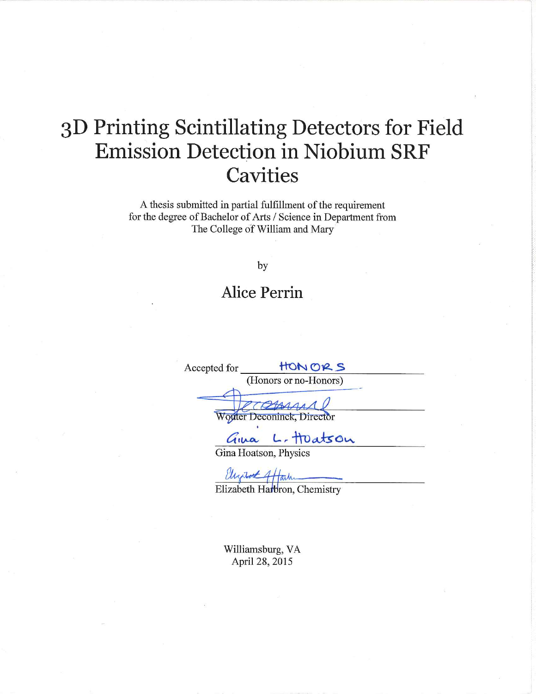# 3D Printing Scintillating Detectors for Field **Emission Detection in Niobium SRF Cavities**

A thesis submitted in partial fulfillment of the requirement for the degree of Bachelor of Arts / Science in Department from The College of William and Mary

by

## **Alice Perrin**

Accepted for HONORS (Honors or no-Honors) Worder Deconinck, Director Gina L. Huatson

Ulyrut 4/auth

Williamsburg, VA April 28, 2015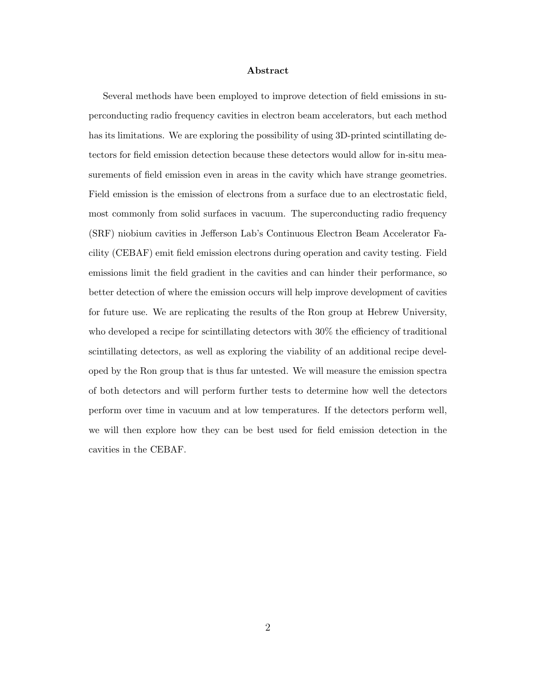#### Abstract

Several methods have been employed to improve detection of field emissions in superconducting radio frequency cavities in electron beam accelerators, but each method has its limitations. We are exploring the possibility of using 3D-printed scintillating detectors for field emission detection because these detectors would allow for in-situ measurements of field emission even in areas in the cavity which have strange geometries. Field emission is the emission of electrons from a surface due to an electrostatic field, most commonly from solid surfaces in vacuum. The superconducting radio frequency (SRF) niobium cavities in Jefferson Lab's Continuous Electron Beam Accelerator Facility (CEBAF) emit field emission electrons during operation and cavity testing. Field emissions limit the field gradient in the cavities and can hinder their performance, so better detection of where the emission occurs will help improve development of cavities for future use. We are replicating the results of the Ron group at Hebrew University, who developed a recipe for scintillating detectors with  $30\%$  the efficiency of traditional scintillating detectors, as well as exploring the viability of an additional recipe developed by the Ron group that is thus far untested. We will measure the emission spectra of both detectors and will perform further tests to determine how well the detectors perform over time in vacuum and at low temperatures. If the detectors perform well, we will then explore how they can be best used for field emission detection in the cavities in the CEBAF.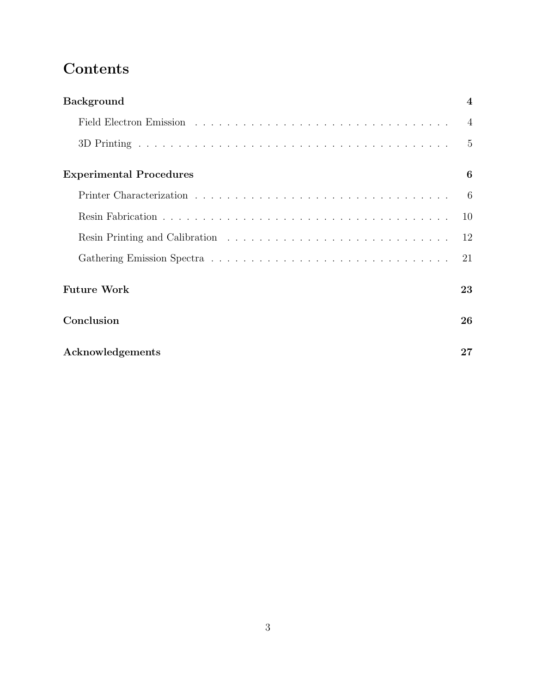## Contents

| <b>Background</b>              | $\boldsymbol{4}$ |
|--------------------------------|------------------|
|                                | $\overline{4}$   |
|                                | 5                |
| <b>Experimental Procedures</b> | 6                |
|                                | -6               |
|                                | 10               |
|                                | 12               |
|                                | 21               |
| <b>Future Work</b>             | 23               |
| Conclusion                     | 26               |
| Acknowledgements               | 27               |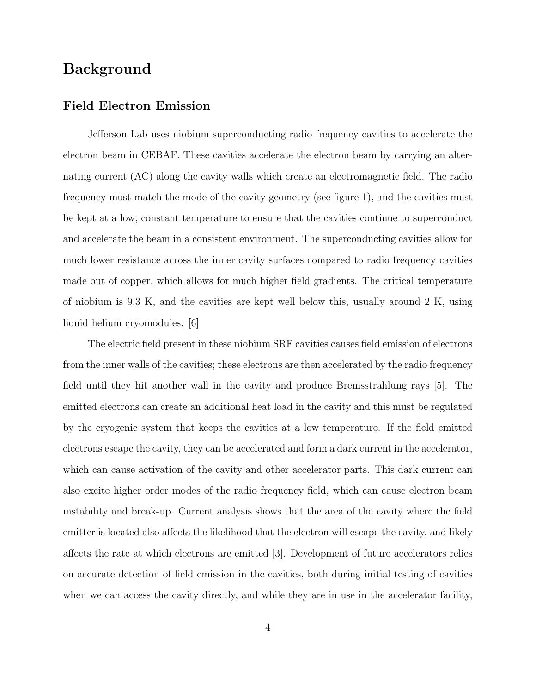## Background

#### Field Electron Emission

Jefferson Lab uses niobium superconducting radio frequency cavities to accelerate the electron beam in CEBAF. These cavities accelerate the electron beam by carrying an alternating current (AC) along the cavity walls which create an electromagnetic field. The radio frequency must match the mode of the cavity geometry (see figure 1), and the cavities must be kept at a low, constant temperature to ensure that the cavities continue to superconduct and accelerate the beam in a consistent environment. The superconducting cavities allow for much lower resistance across the inner cavity surfaces compared to radio frequency cavities made out of copper, which allows for much higher field gradients. The critical temperature of niobium is 9.3 K, and the cavities are kept well below this, usually around 2 K, using liquid helium cryomodules. [6]

The electric field present in these niobium SRF cavities causes field emission of electrons from the inner walls of the cavities; these electrons are then accelerated by the radio frequency field until they hit another wall in the cavity and produce Bremsstrahlung rays [5]. The emitted electrons can create an additional heat load in the cavity and this must be regulated by the cryogenic system that keeps the cavities at a low temperature. If the field emitted electrons escape the cavity, they can be accelerated and form a dark current in the accelerator, which can cause activation of the cavity and other accelerator parts. This dark current can also excite higher order modes of the radio frequency field, which can cause electron beam instability and break-up. Current analysis shows that the area of the cavity where the field emitter is located also affects the likelihood that the electron will escape the cavity, and likely affects the rate at which electrons are emitted [3]. Development of future accelerators relies on accurate detection of field emission in the cavities, both during initial testing of cavities when we can access the cavity directly, and while they are in use in the accelerator facility,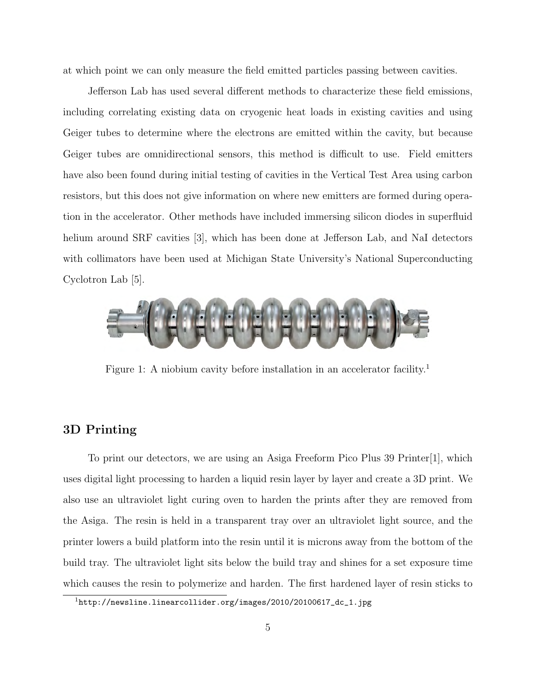at which point we can only measure the field emitted particles passing between cavities.

Jefferson Lab has used several different methods to characterize these field emissions, including correlating existing data on cryogenic heat loads in existing cavities and using Geiger tubes to determine where the electrons are emitted within the cavity, but because Geiger tubes are omnidirectional sensors, this method is difficult to use. Field emitters have also been found during initial testing of cavities in the Vertical Test Area using carbon resistors, but this does not give information on where new emitters are formed during operation in the accelerator. Other methods have included immersing silicon diodes in superfluid helium around SRF cavities [3], which has been done at Jefferson Lab, and NaI detectors with collimators have been used at Michigan State University's National Superconducting Cyclotron Lab [5].



Figure 1: A niobium cavity before installation in an accelerator facility.<sup>1</sup>

#### 3D Printing

To print our detectors, we are using an Asiga Freeform Pico Plus 39 Printer[1], which uses digital light processing to harden a liquid resin layer by layer and create a 3D print. We also use an ultraviolet light curing oven to harden the prints after they are removed from the Asiga. The resin is held in a transparent tray over an ultraviolet light source, and the printer lowers a build platform into the resin until it is microns away from the bottom of the build tray. The ultraviolet light sits below the build tray and shines for a set exposure time which causes the resin to polymerize and harden. The first hardened layer of resin sticks to

<sup>1</sup>http://newsline.linearcollider.org/images/2010/20100617\_dc\_1.jpg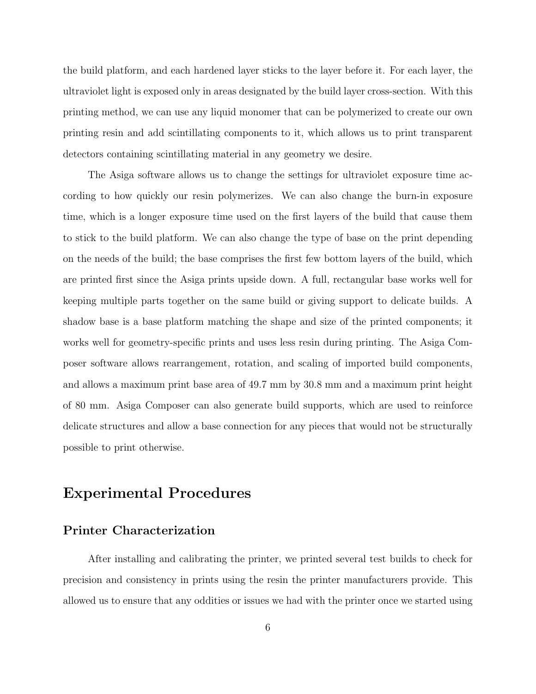the build platform, and each hardened layer sticks to the layer before it. For each layer, the ultraviolet light is exposed only in areas designated by the build layer cross-section. With this printing method, we can use any liquid monomer that can be polymerized to create our own printing resin and add scintillating components to it, which allows us to print transparent detectors containing scintillating material in any geometry we desire.

The Asiga software allows us to change the settings for ultraviolet exposure time according to how quickly our resin polymerizes. We can also change the burn-in exposure time, which is a longer exposure time used on the first layers of the build that cause them to stick to the build platform. We can also change the type of base on the print depending on the needs of the build; the base comprises the first few bottom layers of the build, which are printed first since the Asiga prints upside down. A full, rectangular base works well for keeping multiple parts together on the same build or giving support to delicate builds. A shadow base is a base platform matching the shape and size of the printed components; it works well for geometry-specific prints and uses less resin during printing. The Asiga Composer software allows rearrangement, rotation, and scaling of imported build components, and allows a maximum print base area of 49.7 mm by 30.8 mm and a maximum print height of 80 mm. Asiga Composer can also generate build supports, which are used to reinforce delicate structures and allow a base connection for any pieces that would not be structurally possible to print otherwise.

## Experimental Procedures

### Printer Characterization

After installing and calibrating the printer, we printed several test builds to check for precision and consistency in prints using the resin the printer manufacturers provide. This allowed us to ensure that any oddities or issues we had with the printer once we started using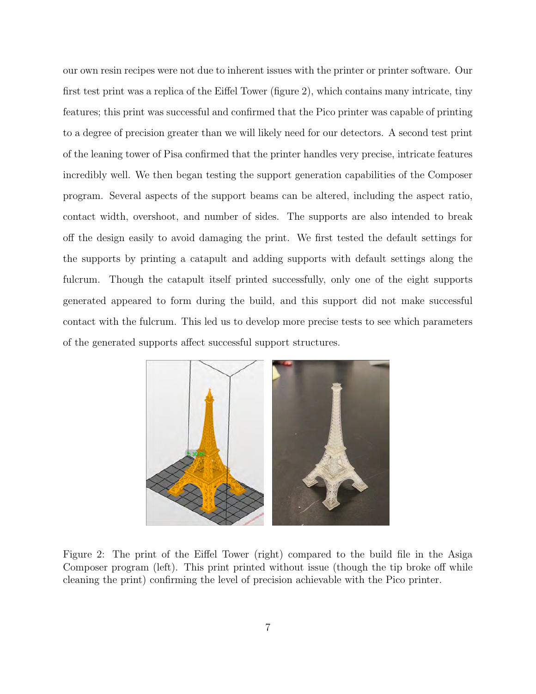our own resin recipes were not due to inherent issues with the printer or printer software. Our first test print was a replica of the Eiffel Tower (figure 2), which contains many intricate, tiny features; this print was successful and confirmed that the Pico printer was capable of printing to a degree of precision greater than we will likely need for our detectors. A second test print of the leaning tower of Pisa confirmed that the printer handles very precise, intricate features incredibly well. We then began testing the support generation capabilities of the Composer program. Several aspects of the support beams can be altered, including the aspect ratio, contact width, overshoot, and number of sides. The supports are also intended to break off the design easily to avoid damaging the print. We first tested the default settings for the supports by printing a catapult and adding supports with default settings along the fulcrum. Though the catapult itself printed successfully, only one of the eight supports generated appeared to form during the build, and this support did not make successful contact with the fulcrum. This led us to develop more precise tests to see which parameters of the generated supports affect successful support structures.



Figure 2: The print of the Eiffel Tower (right) compared to the build file in the Asiga Composer program (left). This print printed without issue (though the tip broke off while cleaning the print) confirming the level of precision achievable with the Pico printer.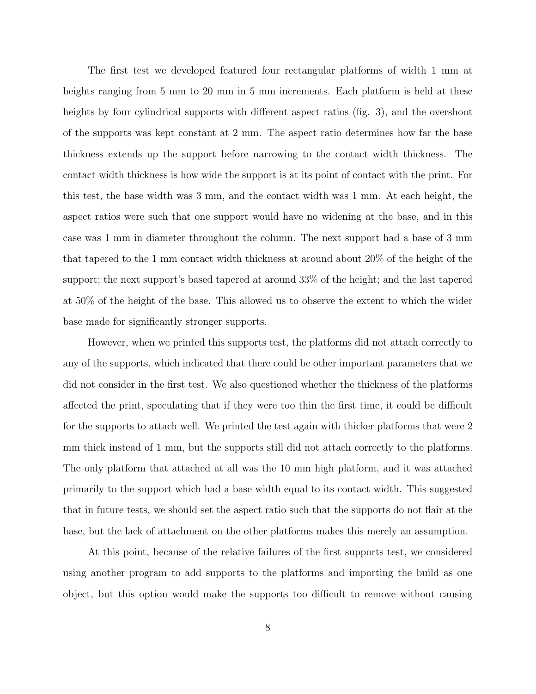The first test we developed featured four rectangular platforms of width 1 mm at heights ranging from 5 mm to 20 mm in 5 mm increments. Each platform is held at these heights by four cylindrical supports with different aspect ratios (fig. 3), and the overshoot of the supports was kept constant at 2 mm. The aspect ratio determines how far the base thickness extends up the support before narrowing to the contact width thickness. The contact width thickness is how wide the support is at its point of contact with the print. For this test, the base width was 3 mm, and the contact width was 1 mm. At each height, the aspect ratios were such that one support would have no widening at the base, and in this case was 1 mm in diameter throughout the column. The next support had a base of 3 mm that tapered to the 1 mm contact width thickness at around about 20% of the height of the support; the next support's based tapered at around 33% of the height; and the last tapered at 50% of the height of the base. This allowed us to observe the extent to which the wider base made for significantly stronger supports.

However, when we printed this supports test, the platforms did not attach correctly to any of the supports, which indicated that there could be other important parameters that we did not consider in the first test. We also questioned whether the thickness of the platforms affected the print, speculating that if they were too thin the first time, it could be difficult for the supports to attach well. We printed the test again with thicker platforms that were 2 mm thick instead of 1 mm, but the supports still did not attach correctly to the platforms. The only platform that attached at all was the 10 mm high platform, and it was attached primarily to the support which had a base width equal to its contact width. This suggested that in future tests, we should set the aspect ratio such that the supports do not flair at the base, but the lack of attachment on the other platforms makes this merely an assumption.

At this point, because of the relative failures of the first supports test, we considered using another program to add supports to the platforms and importing the build as one object, but this option would make the supports too difficult to remove without causing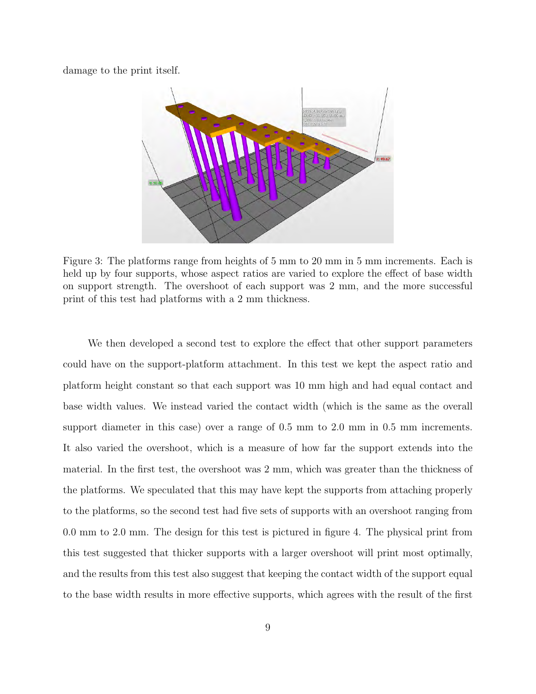damage to the print itself.



Figure 3: The platforms range from heights of 5 mm to 20 mm in 5 mm increments. Each is held up by four supports, whose aspect ratios are varied to explore the effect of base width on support strength. The overshoot of each support was 2 mm, and the more successful print of this test had platforms with a 2 mm thickness.

We then developed a second test to explore the effect that other support parameters could have on the support-platform attachment. In this test we kept the aspect ratio and platform height constant so that each support was 10 mm high and had equal contact and base width values. We instead varied the contact width (which is the same as the overall support diameter in this case) over a range of 0.5 mm to 2.0 mm in 0.5 mm increments. It also varied the overshoot, which is a measure of how far the support extends into the material. In the first test, the overshoot was 2 mm, which was greater than the thickness of the platforms. We speculated that this may have kept the supports from attaching properly to the platforms, so the second test had five sets of supports with an overshoot ranging from 0.0 mm to 2.0 mm. The design for this test is pictured in figure 4. The physical print from this test suggested that thicker supports with a larger overshoot will print most optimally, and the results from this test also suggest that keeping the contact width of the support equal to the base width results in more effective supports, which agrees with the result of the first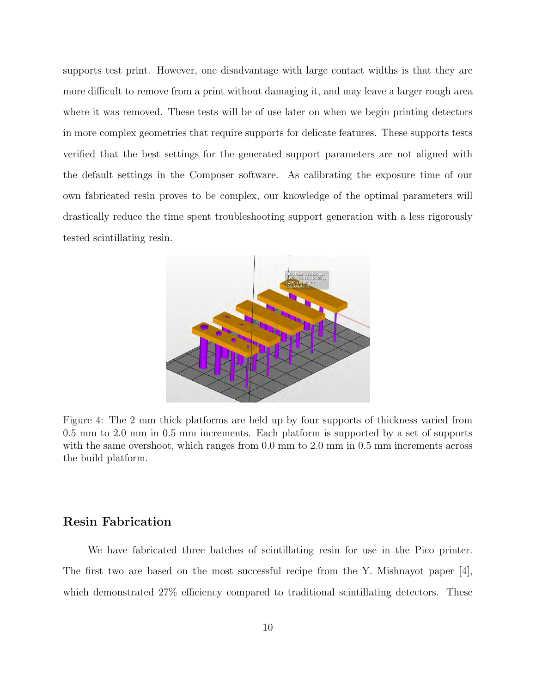supports test print. However, one disadvantage with large contact widths is that they are more difficult to remove from a print without damaging it, and may leave a larger rough area where it was removed. These tests will be of use later on when we begin printing detectors in more complex geometries that require supports for delicate features. These supports tests verified that the best settings for the generated support parameters are not aligned with the default settings in the Composer software. As calibrating the exposure time of our own fabricated resin proves to be complex, our knowledge of the optimal parameters will drastically reduce the time spent troubleshooting support generation with a less rigorously tested scintillating resin.



Figure 4: The 2 mm thick platforms are held up by four supports of thickness varied from 0.5 mm to 2.0 mm in 0.5 mm increments. Each platform is supported by a set of supports with the same overshoot, which ranges from 0.0 mm to 2.0 mm in 0.5 mm increments across the build platform.

#### Resin Fabrication

We have fabricated three batches of scintillating resin for use in the Pico printer. The first two are based on the most successful recipe from the Y. Mishnayot paper [4], which demonstrated  $27\%$  efficiency compared to traditional scintillating detectors. These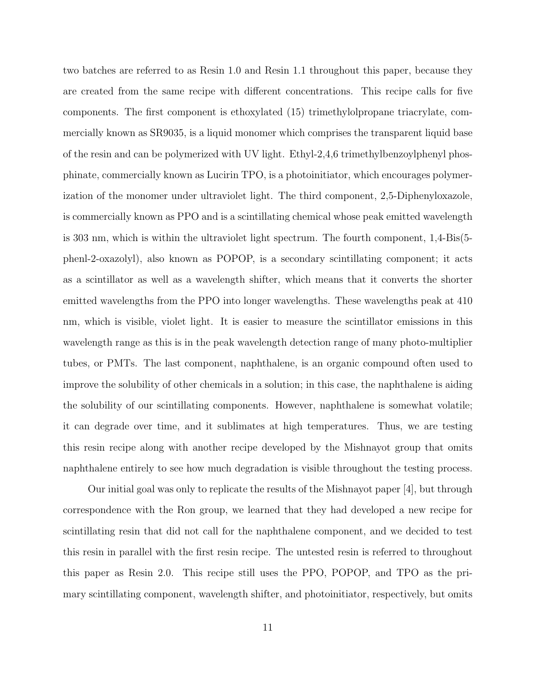two batches are referred to as Resin 1.0 and Resin 1.1 throughout this paper, because they are created from the same recipe with different concentrations. This recipe calls for five components. The first component is ethoxylated (15) trimethylolpropane triacrylate, commercially known as SR9035, is a liquid monomer which comprises the transparent liquid base of the resin and can be polymerized with UV light. Ethyl-2,4,6 trimethylbenzoylphenyl phosphinate, commercially known as Lucirin TPO, is a photoinitiator, which encourages polymerization of the monomer under ultraviolet light. The third component, 2,5-Diphenyloxazole, is commercially known as PPO and is a scintillating chemical whose peak emitted wavelength is 303 nm, which is within the ultraviolet light spectrum. The fourth component, 1,4-Bis(5 phenl-2-oxazolyl), also known as POPOP, is a secondary scintillating component; it acts as a scintillator as well as a wavelength shifter, which means that it converts the shorter emitted wavelengths from the PPO into longer wavelengths. These wavelengths peak at 410 nm, which is visible, violet light. It is easier to measure the scintillator emissions in this wavelength range as this is in the peak wavelength detection range of many photo-multiplier tubes, or PMTs. The last component, naphthalene, is an organic compound often used to improve the solubility of other chemicals in a solution; in this case, the naphthalene is aiding the solubility of our scintillating components. However, naphthalene is somewhat volatile; it can degrade over time, and it sublimates at high temperatures. Thus, we are testing this resin recipe along with another recipe developed by the Mishnayot group that omits naphthalene entirely to see how much degradation is visible throughout the testing process.

Our initial goal was only to replicate the results of the Mishnayot paper [4], but through correspondence with the Ron group, we learned that they had developed a new recipe for scintillating resin that did not call for the naphthalene component, and we decided to test this resin in parallel with the first resin recipe. The untested resin is referred to throughout this paper as Resin 2.0. This recipe still uses the PPO, POPOP, and TPO as the primary scintillating component, wavelength shifter, and photoinitiator, respectively, but omits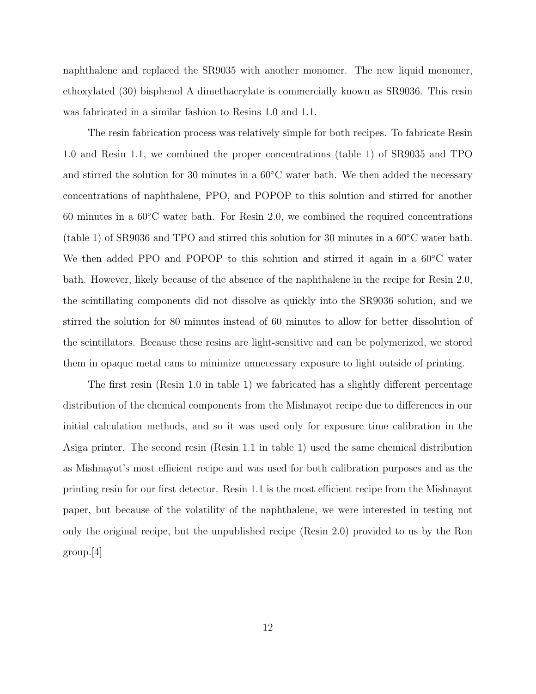naphthalene and replaced the SR9035 with another monomer. The new liquid monomer, ethoxylated (30) bisphenol A dimethacrylate is commercially known as SR9036. This resin was fabricated in a similar fashion to Resins 1.0 and 1.1.

The resin fabrication process was relatively simple for both recipes. To fabricate Resin 1.0 and Resin 1.1, we combined the proper concentrations (table 1) of SR9035 and TPO and stirred the solution for 30 minutes in a  $60^{\circ}$ C water bath. We then added the necessary concentrations of naphthalene, PPO, and POPOP to this solution and stirred for another 60 minutes in a  $60^{\circ}$ C water bath. For Resin 2.0, we combined the required concentrations (table 1) of SR9036 and TPO and stirred this solution for 30 minutes in a 60◦C water bath. We then added PPO and POPOP to this solution and stirred it again in a 60◦C water bath. However, likely because of the absence of the naphthalene in the recipe for Resin 2.0, the scintillating components did not dissolve as quickly into the SR9036 solution, and we stirred the solution for 80 minutes instead of 60 minutes to allow for better dissolution of the scintillators. Because these resins are light-sensitive and can be polymerized, we stored them in opaque metal cans to minimize unnecessary exposure to light outside of printing.

The first resin (Resin 1.0 in table 1) we fabricated has a slightly different percentage distribution of the chemical components from the Mishnayot recipe due to differences in our initial calculation methods, and so it was used only for exposure time calibration in the Asiga printer. The second resin (Resin 1.1 in table 1) used the same chemical distribution as Mishnayot's most efficient recipe and was used for both calibration purposes and as the printing resin for our first detector. Resin 1.1 is the most efficient recipe from the Mishnayot paper, but because of the volatility of the naphthalene, we were interested in testing not only the original recipe, but the unpublished recipe (Resin 2.0) provided to us by the Ron group.[4]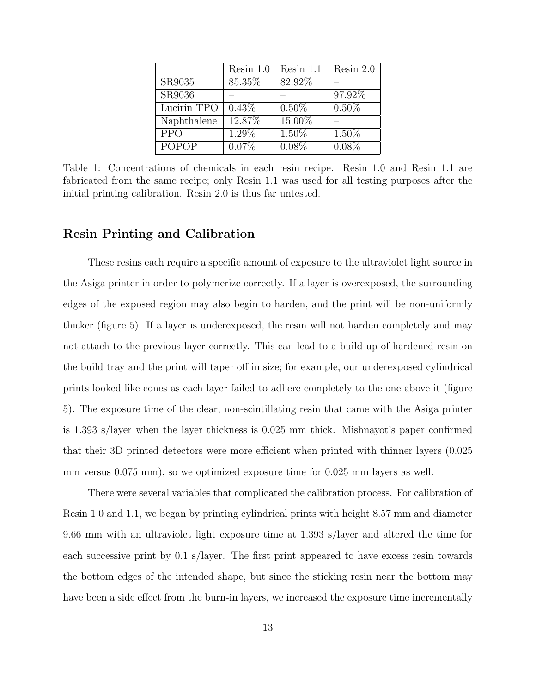|              | Resin 1.0 | Resin 1.1 | Resin $2.0$ |
|--------------|-----------|-----------|-------------|
| SR9035       | 85.35%    | 82.92%    |             |
| SR9036       |           |           | 97.92%      |
| Lucirin TPO  | 0.43%     | $0.50\%$  | $0.50\%$    |
| Naphthalene  | 12.87%    | 15.00%    |             |
| <b>PPO</b>   | 1.29%     | 1.50%     | 1.50%       |
| <b>POPOP</b> | 0.07%     | $0.08\%$  | $0.08\%$    |

Table 1: Concentrations of chemicals in each resin recipe. Resin 1.0 and Resin 1.1 are fabricated from the same recipe; only Resin 1.1 was used for all testing purposes after the initial printing calibration. Resin 2.0 is thus far untested.

#### Resin Printing and Calibration

These resins each require a specific amount of exposure to the ultraviolet light source in the Asiga printer in order to polymerize correctly. If a layer is overexposed, the surrounding edges of the exposed region may also begin to harden, and the print will be non-uniformly thicker (figure 5). If a layer is underexposed, the resin will not harden completely and may not attach to the previous layer correctly. This can lead to a build-up of hardened resin on the build tray and the print will taper off in size; for example, our underexposed cylindrical prints looked like cones as each layer failed to adhere completely to the one above it (figure 5). The exposure time of the clear, non-scintillating resin that came with the Asiga printer is 1.393 s/layer when the layer thickness is 0.025 mm thick. Mishnayot's paper confirmed that their 3D printed detectors were more efficient when printed with thinner layers (0.025 mm versus 0.075 mm), so we optimized exposure time for 0.025 mm layers as well.

There were several variables that complicated the calibration process. For calibration of Resin 1.0 and 1.1, we began by printing cylindrical prints with height 8.57 mm and diameter 9.66 mm with an ultraviolet light exposure time at 1.393 s/layer and altered the time for each successive print by 0.1 s/layer. The first print appeared to have excess resin towards the bottom edges of the intended shape, but since the sticking resin near the bottom may have been a side effect from the burn-in layers, we increased the exposure time incrementally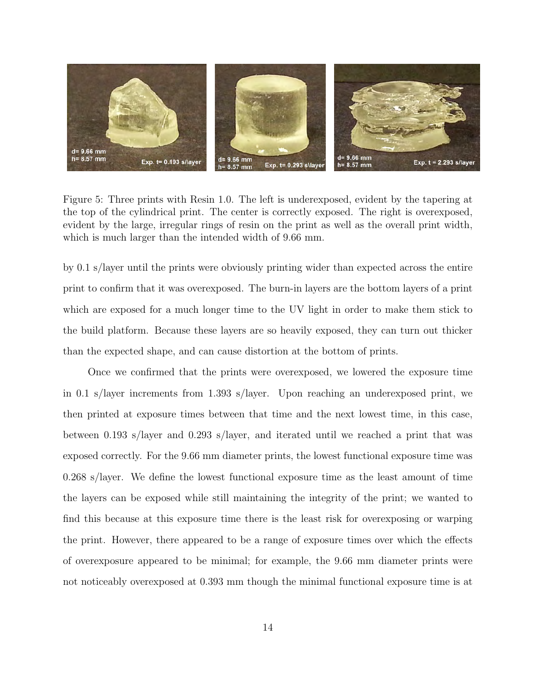

Figure 5: Three prints with Resin 1.0. The left is underexposed, evident by the tapering at the top of the cylindrical print. The center is correctly exposed. The right is overexposed, evident by the large, irregular rings of resin on the print as well as the overall print width, which is much larger than the intended width of 9.66 mm.

by 0.1 s/layer until the prints were obviously printing wider than expected across the entire print to confirm that it was overexposed. The burn-in layers are the bottom layers of a print which are exposed for a much longer time to the UV light in order to make them stick to the build platform. Because these layers are so heavily exposed, they can turn out thicker than the expected shape, and can cause distortion at the bottom of prints.

Once we confirmed that the prints were overexposed, we lowered the exposure time in 0.1 s/layer increments from 1.393 s/layer. Upon reaching an underexposed print, we then printed at exposure times between that time and the next lowest time, in this case, between 0.193 s/layer and 0.293 s/layer, and iterated until we reached a print that was exposed correctly. For the 9.66 mm diameter prints, the lowest functional exposure time was 0.268 s/layer. We define the lowest functional exposure time as the least amount of time the layers can be exposed while still maintaining the integrity of the print; we wanted to find this because at this exposure time there is the least risk for overexposing or warping the print. However, there appeared to be a range of exposure times over which the effects of overexposure appeared to be minimal; for example, the 9.66 mm diameter prints were not noticeably overexposed at 0.393 mm though the minimal functional exposure time is at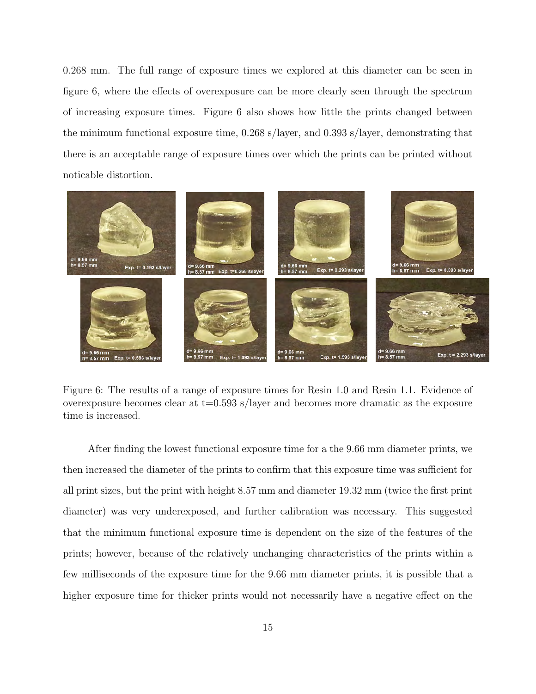0.268 mm. The full range of exposure times we explored at this diameter can be seen in figure 6, where the effects of overexposure can be more clearly seen through the spectrum of increasing exposure times. Figure 6 also shows how little the prints changed between the minimum functional exposure time, 0.268 s/layer, and 0.393 s/layer, demonstrating that there is an acceptable range of exposure times over which the prints can be printed without noticable distortion.



Figure 6: The results of a range of exposure times for Resin 1.0 and Resin 1.1. Evidence of overexposure becomes clear at  $t=0.593$  s/layer and becomes more dramatic as the exposure time is increased.

After finding the lowest functional exposure time for a the 9.66 mm diameter prints, we then increased the diameter of the prints to confirm that this exposure time was sufficient for all print sizes, but the print with height 8.57 mm and diameter 19.32 mm (twice the first print diameter) was very underexposed, and further calibration was necessary. This suggested that the minimum functional exposure time is dependent on the size of the features of the prints; however, because of the relatively unchanging characteristics of the prints within a few milliseconds of the exposure time for the 9.66 mm diameter prints, it is possible that a higher exposure time for thicker prints would not necessarily have a negative effect on the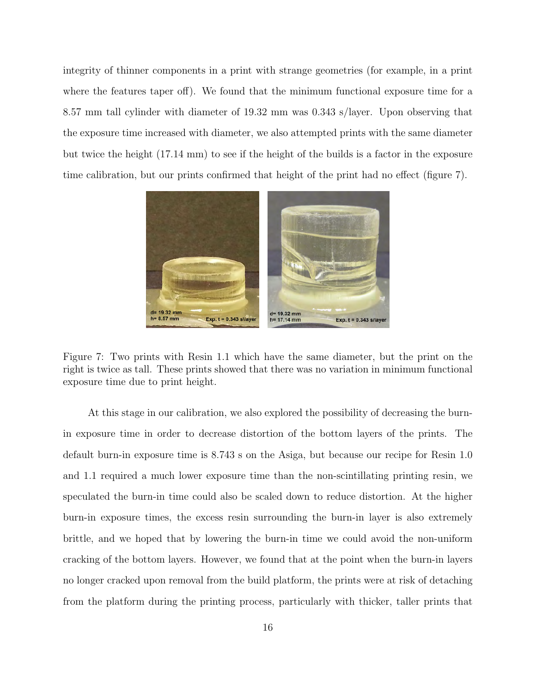integrity of thinner components in a print with strange geometries (for example, in a print where the features taper off). We found that the minimum functional exposure time for a 8.57 mm tall cylinder with diameter of 19.32 mm was 0.343 s/layer. Upon observing that the exposure time increased with diameter, we also attempted prints with the same diameter but twice the height (17.14 mm) to see if the height of the builds is a factor in the exposure time calibration, but our prints confirmed that height of the print had no effect (figure 7).



Figure 7: Two prints with Resin 1.1 which have the same diameter, but the print on the right is twice as tall. These prints showed that there was no variation in minimum functional exposure time due to print height.

At this stage in our calibration, we also explored the possibility of decreasing the burnin exposure time in order to decrease distortion of the bottom layers of the prints. The default burn-in exposure time is 8.743 s on the Asiga, but because our recipe for Resin 1.0 and 1.1 required a much lower exposure time than the non-scintillating printing resin, we speculated the burn-in time could also be scaled down to reduce distortion. At the higher burn-in exposure times, the excess resin surrounding the burn-in layer is also extremely brittle, and we hoped that by lowering the burn-in time we could avoid the non-uniform cracking of the bottom layers. However, we found that at the point when the burn-in layers no longer cracked upon removal from the build platform, the prints were at risk of detaching from the platform during the printing process, particularly with thicker, taller prints that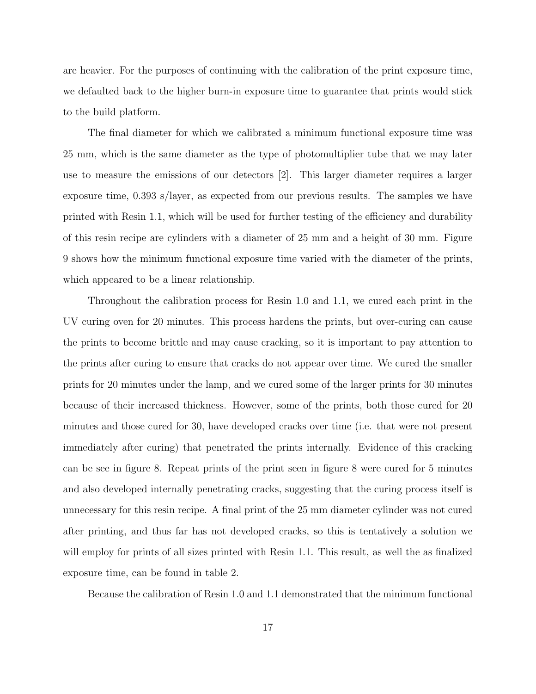are heavier. For the purposes of continuing with the calibration of the print exposure time, we defaulted back to the higher burn-in exposure time to guarantee that prints would stick to the build platform.

The final diameter for which we calibrated a minimum functional exposure time was 25 mm, which is the same diameter as the type of photomultiplier tube that we may later use to measure the emissions of our detectors [2]. This larger diameter requires a larger exposure time, 0.393 s/layer, as expected from our previous results. The samples we have printed with Resin 1.1, which will be used for further testing of the efficiency and durability of this resin recipe are cylinders with a diameter of 25 mm and a height of 30 mm. Figure 9 shows how the minimum functional exposure time varied with the diameter of the prints, which appeared to be a linear relationship.

Throughout the calibration process for Resin 1.0 and 1.1, we cured each print in the UV curing oven for 20 minutes. This process hardens the prints, but over-curing can cause the prints to become brittle and may cause cracking, so it is important to pay attention to the prints after curing to ensure that cracks do not appear over time. We cured the smaller prints for 20 minutes under the lamp, and we cured some of the larger prints for 30 minutes because of their increased thickness. However, some of the prints, both those cured for 20 minutes and those cured for 30, have developed cracks over time (i.e. that were not present immediately after curing) that penetrated the prints internally. Evidence of this cracking can be see in figure 8. Repeat prints of the print seen in figure 8 were cured for 5 minutes and also developed internally penetrating cracks, suggesting that the curing process itself is unnecessary for this resin recipe. A final print of the 25 mm diameter cylinder was not cured after printing, and thus far has not developed cracks, so this is tentatively a solution we will employ for prints of all sizes printed with Resin 1.1. This result, as well the as finalized exposure time, can be found in table 2.

Because the calibration of Resin 1.0 and 1.1 demonstrated that the minimum functional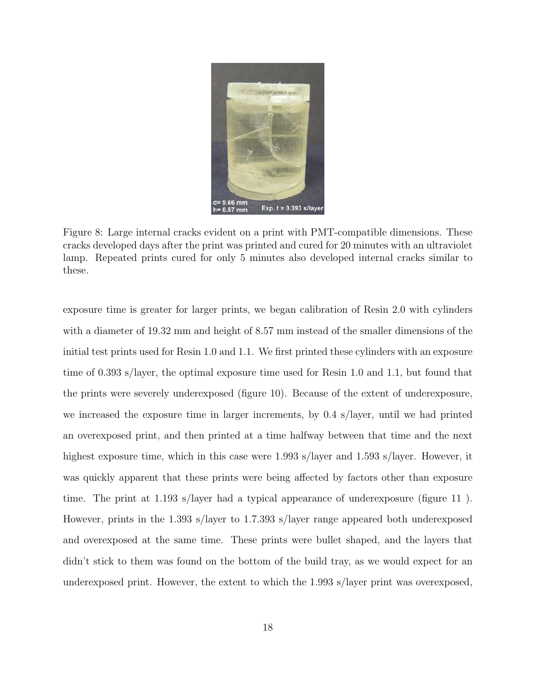

Figure 8: Large internal cracks evident on a print with PMT-compatible dimensions. These cracks developed days after the print was printed and cured for 20 minutes with an ultraviolet lamp. Repeated prints cured for only 5 minutes also developed internal cracks similar to these.

exposure time is greater for larger prints, we began calibration of Resin 2.0 with cylinders with a diameter of 19.32 mm and height of 8.57 mm instead of the smaller dimensions of the initial test prints used for Resin 1.0 and 1.1. We first printed these cylinders with an exposure time of 0.393 s/layer, the optimal exposure time used for Resin 1.0 and 1.1, but found that the prints were severely underexposed (figure 10). Because of the extent of underexposure, we increased the exposure time in larger increments, by 0.4 s/layer, until we had printed an overexposed print, and then printed at a time halfway between that time and the next highest exposure time, which in this case were 1.993 s/layer and 1.593 s/layer. However, it was quickly apparent that these prints were being affected by factors other than exposure time. The print at 1.193 s/layer had a typical appearance of underexposure (figure 11 ). However, prints in the 1.393 s/layer to 1.7.393 s/layer range appeared both underexposed and overexposed at the same time. These prints were bullet shaped, and the layers that didn't stick to them was found on the bottom of the build tray, as we would expect for an underexposed print. However, the extent to which the 1.993 s/layer print was overexposed,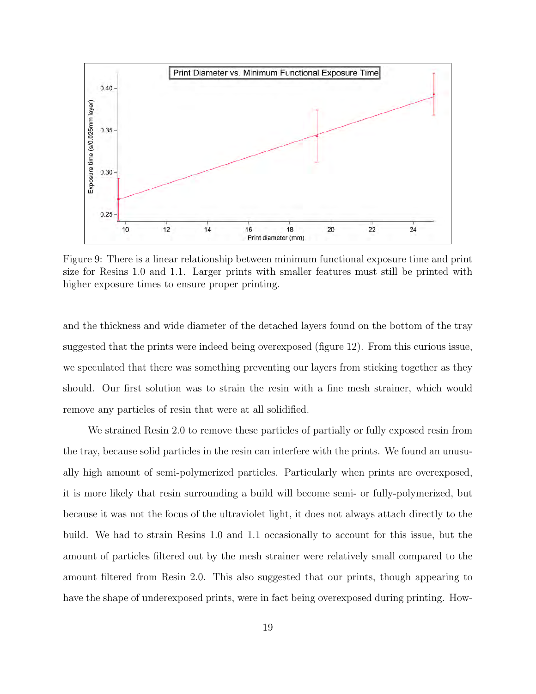

Figure 9: There is a linear relationship between minimum functional exposure time and print size for Resins 1.0 and 1.1. Larger prints with smaller features must still be printed with higher exposure times to ensure proper printing.

and the thickness and wide diameter of the detached layers found on the bottom of the tray suggested that the prints were indeed being overexposed (figure 12). From this curious issue, we speculated that there was something preventing our layers from sticking together as they should. Our first solution was to strain the resin with a fine mesh strainer, which would remove any particles of resin that were at all solidified.

We strained Resin 2.0 to remove these particles of partially or fully exposed resin from the tray, because solid particles in the resin can interfere with the prints. We found an unusually high amount of semi-polymerized particles. Particularly when prints are overexposed, it is more likely that resin surrounding a build will become semi- or fully-polymerized, but because it was not the focus of the ultraviolet light, it does not always attach directly to the build. We had to strain Resins 1.0 and 1.1 occasionally to account for this issue, but the amount of particles filtered out by the mesh strainer were relatively small compared to the amount filtered from Resin 2.0. This also suggested that our prints, though appearing to have the shape of underexposed prints, were in fact being overexposed during printing. How-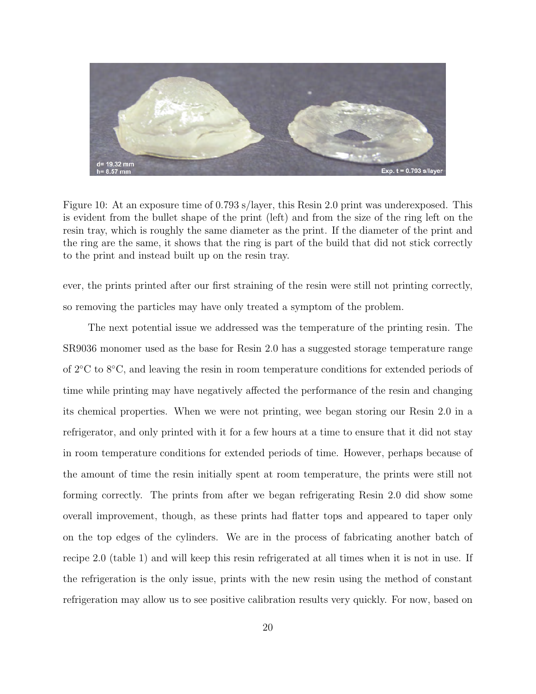

Figure 10: At an exposure time of 0.793 s/layer, this Resin 2.0 print was underexposed. This is evident from the bullet shape of the print (left) and from the size of the ring left on the resin tray, which is roughly the same diameter as the print. If the diameter of the print and the ring are the same, it shows that the ring is part of the build that did not stick correctly to the print and instead built up on the resin tray.

ever, the prints printed after our first straining of the resin were still not printing correctly, so removing the particles may have only treated a symptom of the problem.

The next potential issue we addressed was the temperature of the printing resin. The SR9036 monomer used as the base for Resin 2.0 has a suggested storage temperature range of 2◦C to 8◦C, and leaving the resin in room temperature conditions for extended periods of time while printing may have negatively affected the performance of the resin and changing its chemical properties. When we were not printing, wee began storing our Resin 2.0 in a refrigerator, and only printed with it for a few hours at a time to ensure that it did not stay in room temperature conditions for extended periods of time. However, perhaps because of the amount of time the resin initially spent at room temperature, the prints were still not forming correctly. The prints from after we began refrigerating Resin 2.0 did show some overall improvement, though, as these prints had flatter tops and appeared to taper only on the top edges of the cylinders. We are in the process of fabricating another batch of recipe 2.0 (table 1) and will keep this resin refrigerated at all times when it is not in use. If the refrigeration is the only issue, prints with the new resin using the method of constant refrigeration may allow us to see positive calibration results very quickly. For now, based on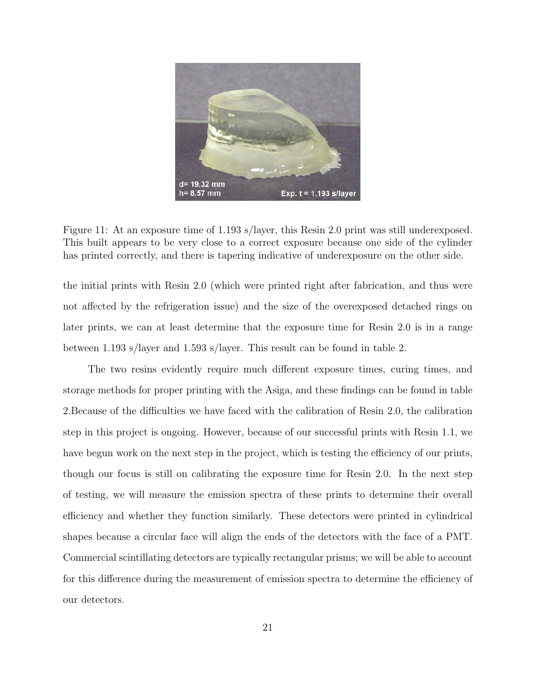

Figure 11: At an exposure time of 1.193 s/layer, this Resin 2.0 print was still underexposed. This built appears to be very close to a correct exposure because one side of the cylinder has printed correctly, and there is tapering indicative of underexposure on the other side.

the initial prints with Resin 2.0 (which were printed right after fabrication, and thus were not affected by the refrigeration issue) and the size of the overexposed detached rings on later prints, we can at least determine that the exposure time for Resin 2.0 is in a range between 1.193 s/layer and 1.593 s/layer. This result can be found in table 2.

The two resins evidently require much different exposure times, curing times, and storage methods for proper printing with the Asiga, and these findings can be found in table 2.Because of the difficulties we have faced with the calibration of Resin 2.0, the calibration step in this project is ongoing. However, because of our successful prints with Resin 1.1, we have begun work on the next step in the project, which is testing the efficiency of our prints, though our focus is still on calibrating the exposure time for Resin 2.0. In the next step of testing, we will measure the emission spectra of these prints to determine their overall efficiency and whether they function similarly. These detectors were printed in cylindrical shapes because a circular face will align the ends of the detectors with the face of a PMT. Commercial scintillating detectors are typically rectangular prisms; we will be able to account for this difference during the measurement of emission spectra to determine the efficiency of our detectors.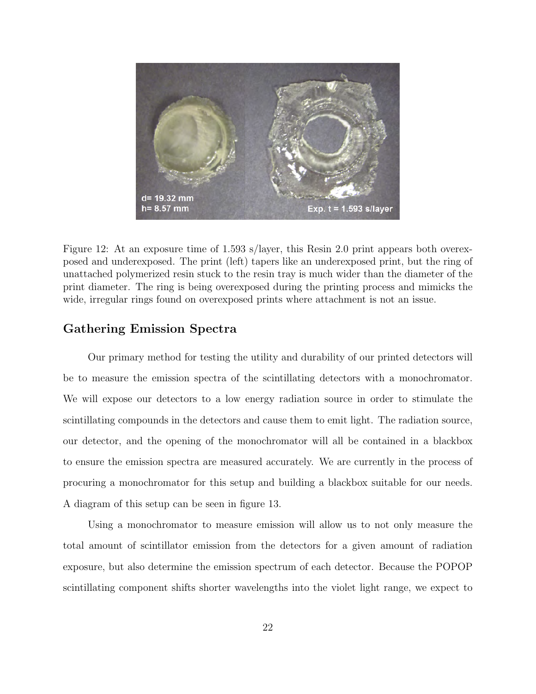

Figure 12: At an exposure time of 1.593 s/layer, this Resin 2.0 print appears both overexposed and underexposed. The print (left) tapers like an underexposed print, but the ring of unattached polymerized resin stuck to the resin tray is much wider than the diameter of the print diameter. The ring is being overexposed during the printing process and mimicks the wide, irregular rings found on overexposed prints where attachment is not an issue.

### Gathering Emission Spectra

Our primary method for testing the utility and durability of our printed detectors will be to measure the emission spectra of the scintillating detectors with a monochromator. We will expose our detectors to a low energy radiation source in order to stimulate the scintillating compounds in the detectors and cause them to emit light. The radiation source, our detector, and the opening of the monochromator will all be contained in a blackbox to ensure the emission spectra are measured accurately. We are currently in the process of procuring a monochromator for this setup and building a blackbox suitable for our needs. A diagram of this setup can be seen in figure 13.

Using a monochromator to measure emission will allow us to not only measure the total amount of scintillator emission from the detectors for a given amount of radiation exposure, but also determine the emission spectrum of each detector. Because the POPOP scintillating component shifts shorter wavelengths into the violet light range, we expect to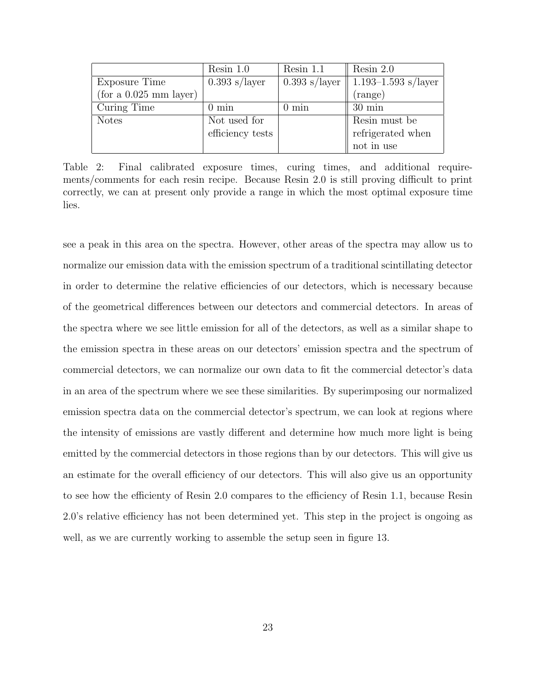|                        | Resin $1.0$      | Resin $1.1$     | Resin $2.0$                                                                          |
|------------------------|------------------|-----------------|--------------------------------------------------------------------------------------|
| Exposure Time          | $0.393$ s/layer  | $0.393$ s/layer | $1.193 - 1.593$ s/layer                                                              |
| (for a 0.025 mm layer) |                  |                 | (range)                                                                              |
| Curing Time            | $0 \text{ min}$  | $0 \text{ min}$ | $30 \text{ min}$                                                                     |
| <b>Notes</b>           | Not used for     |                 | Resin must be                                                                        |
|                        | efficiency tests |                 | $% \left\vert \left( \mathbf{1}_{\mathbf{1}}\right) \right\rangle$ refrigerated when |
|                        |                  |                 | not in use                                                                           |

Table 2: Final calibrated exposure times, curing times, and additional requirements/comments for each resin recipe. Because Resin 2.0 is still proving difficult to print correctly, we can at present only provide a range in which the most optimal exposure time lies.

see a peak in this area on the spectra. However, other areas of the spectra may allow us to normalize our emission data with the emission spectrum of a traditional scintillating detector in order to determine the relative efficiencies of our detectors, which is necessary because of the geometrical differences between our detectors and commercial detectors. In areas of the spectra where we see little emission for all of the detectors, as well as a similar shape to the emission spectra in these areas on our detectors' emission spectra and the spectrum of commercial detectors, we can normalize our own data to fit the commercial detector's data in an area of the spectrum where we see these similarities. By superimposing our normalized emission spectra data on the commercial detector's spectrum, we can look at regions where the intensity of emissions are vastly different and determine how much more light is being emitted by the commercial detectors in those regions than by our detectors. This will give us an estimate for the overall efficiency of our detectors. This will also give us an opportunity to see how the efficienty of Resin 2.0 compares to the efficiency of Resin 1.1, because Resin 2.0's relative efficiency has not been determined yet. This step in the project is ongoing as well, as we are currently working to assemble the setup seen in figure 13.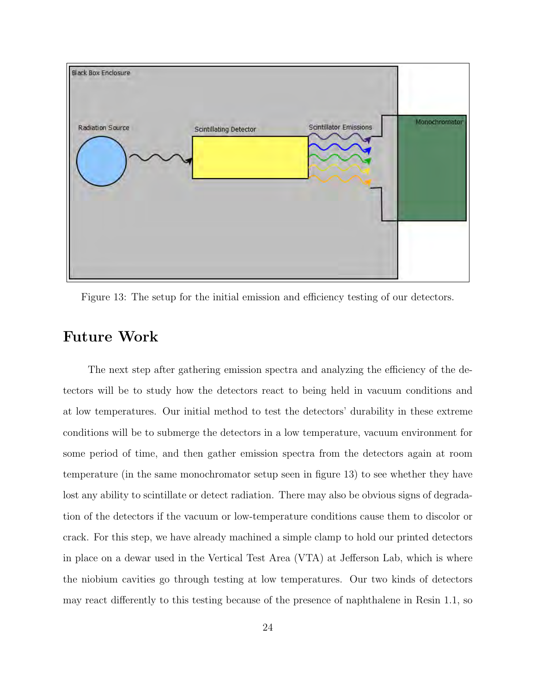

Figure 13: The setup for the initial emission and efficiency testing of our detectors.

## Future Work

The next step after gathering emission spectra and analyzing the efficiency of the detectors will be to study how the detectors react to being held in vacuum conditions and at low temperatures. Our initial method to test the detectors' durability in these extreme conditions will be to submerge the detectors in a low temperature, vacuum environment for some period of time, and then gather emission spectra from the detectors again at room temperature (in the same monochromator setup seen in figure 13) to see whether they have lost any ability to scintillate or detect radiation. There may also be obvious signs of degradation of the detectors if the vacuum or low-temperature conditions cause them to discolor or crack. For this step, we have already machined a simple clamp to hold our printed detectors in place on a dewar used in the Vertical Test Area (VTA) at Jefferson Lab, which is where the niobium cavities go through testing at low temperatures. Our two kinds of detectors may react differently to this testing because of the presence of naphthalene in Resin 1.1, so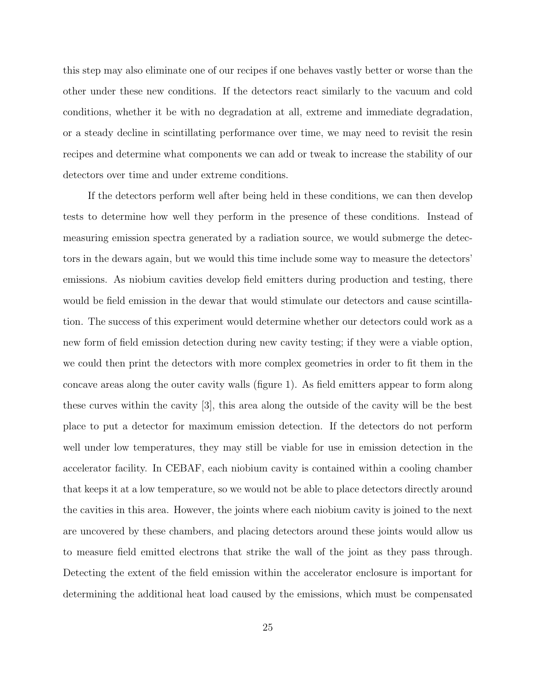this step may also eliminate one of our recipes if one behaves vastly better or worse than the other under these new conditions. If the detectors react similarly to the vacuum and cold conditions, whether it be with no degradation at all, extreme and immediate degradation, or a steady decline in scintillating performance over time, we may need to revisit the resin recipes and determine what components we can add or tweak to increase the stability of our detectors over time and under extreme conditions.

If the detectors perform well after being held in these conditions, we can then develop tests to determine how well they perform in the presence of these conditions. Instead of measuring emission spectra generated by a radiation source, we would submerge the detectors in the dewars again, but we would this time include some way to measure the detectors' emissions. As niobium cavities develop field emitters during production and testing, there would be field emission in the dewar that would stimulate our detectors and cause scintillation. The success of this experiment would determine whether our detectors could work as a new form of field emission detection during new cavity testing; if they were a viable option, we could then print the detectors with more complex geometries in order to fit them in the concave areas along the outer cavity walls (figure 1). As field emitters appear to form along these curves within the cavity [3], this area along the outside of the cavity will be the best place to put a detector for maximum emission detection. If the detectors do not perform well under low temperatures, they may still be viable for use in emission detection in the accelerator facility. In CEBAF, each niobium cavity is contained within a cooling chamber that keeps it at a low temperature, so we would not be able to place detectors directly around the cavities in this area. However, the joints where each niobium cavity is joined to the next are uncovered by these chambers, and placing detectors around these joints would allow us to measure field emitted electrons that strike the wall of the joint as they pass through. Detecting the extent of the field emission within the accelerator enclosure is important for determining the additional heat load caused by the emissions, which must be compensated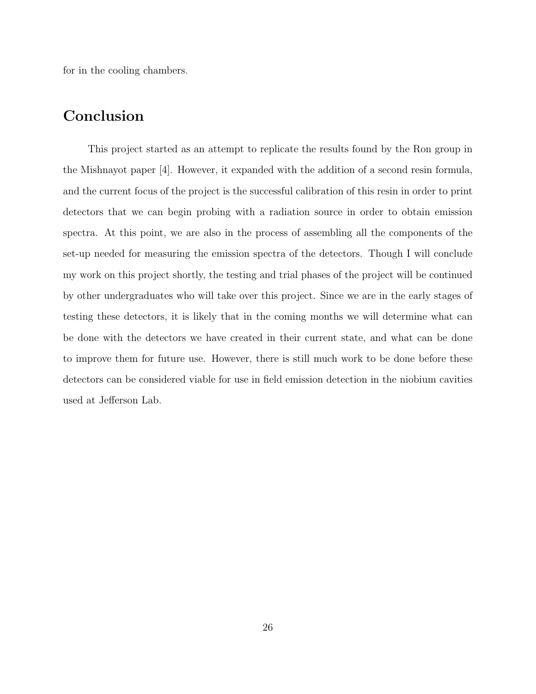for in the cooling chambers.

## Conclusion

This project started as an attempt to replicate the results found by the Ron group in the Mishnayot paper [4]. However, it expanded with the addition of a second resin formula, and the current focus of the project is the successful calibration of this resin in order to print detectors that we can begin probing with a radiation source in order to obtain emission spectra. At this point, we are also in the process of assembling all the components of the set-up needed for measuring the emission spectra of the detectors. Though I will conclude my work on this project shortly, the testing and trial phases of the project will be continued by other undergraduates who will take over this project. Since we are in the early stages of testing these detectors, it is likely that in the coming months we will determine what can be done with the detectors we have created in their current state, and what can be done to improve them for future use. However, there is still much work to be done before these detectors can be considered viable for use in field emission detection in the niobium cavities used at Jefferson Lab.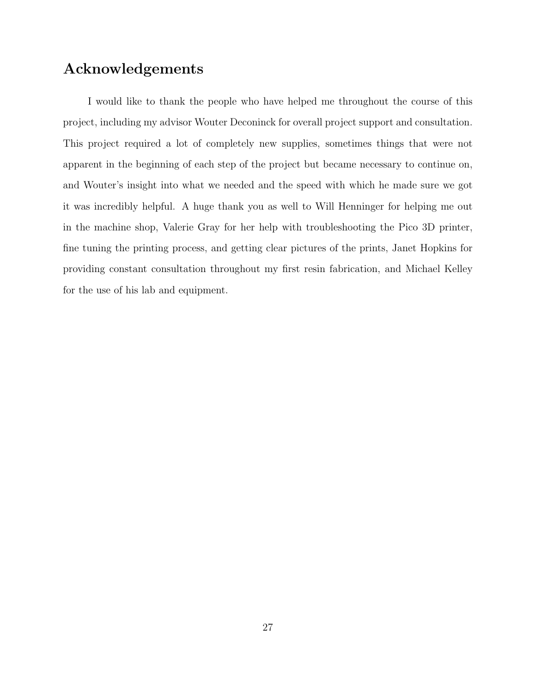## Acknowledgements

I would like to thank the people who have helped me throughout the course of this project, including my advisor Wouter Deconinck for overall project support and consultation. This project required a lot of completely new supplies, sometimes things that were not apparent in the beginning of each step of the project but became necessary to continue on, and Wouter's insight into what we needed and the speed with which he made sure we got it was incredibly helpful. A huge thank you as well to Will Henninger for helping me out in the machine shop, Valerie Gray for her help with troubleshooting the Pico 3D printer, fine tuning the printing process, and getting clear pictures of the prints, Janet Hopkins for providing constant consultation throughout my first resin fabrication, and Michael Kelley for the use of his lab and equipment.